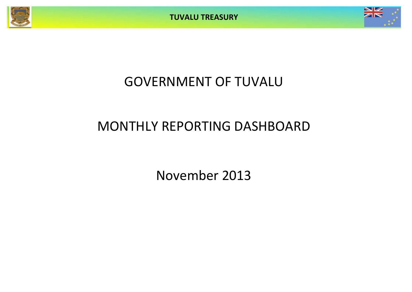



# GOVERNMENT OF TUVALU

# MONTHLY REPORTING DASHBOARD

November 2013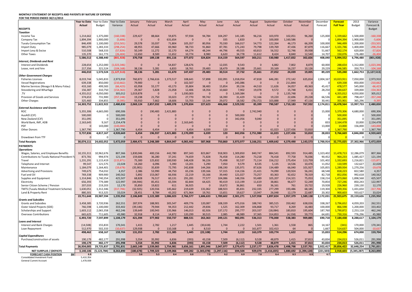#### **MONTHLY STATEMENT OF RECEIPTS AND PAYENTS BY NATURE OF EXPENSE**

**FOR THE PERIOD ENDED 30/11/2013**

| 9H :::L : LINOD LINDLD 90/11/L013                                            | Year to Date     | Year to Date  | Year to Date  | January           | February         | March            | April          | May                | June                 | July               | August         | September            | October          | November             | December          | <b>Forecast</b>    | 2013                   | Variance          |
|------------------------------------------------------------------------------|------------------|---------------|---------------|-------------------|------------------|------------------|----------------|--------------------|----------------------|--------------------|----------------|----------------------|------------------|----------------------|-------------------|--------------------|------------------------|-------------------|
|                                                                              | Actual           | Budget        | Variance      | Actual            | Actual           | Actual           | Actual         | Actual             | Actual               | Actual             | Actual         | Actual               | Actual           | Actual               | Forecast          | <b>Full Year</b>   | <b>Budget</b>          | Forecast &        |
| <b>RECEIPTS</b>                                                              |                  |               |               |                   |                  |                  |                |                    |                      |                    |                |                      |                  |                      |                   |                    |                        | <b>Budget</b>     |
| <b>Taxation</b>                                                              |                  |               |               |                   |                  |                  |                |                    |                      |                    |                |                      |                  |                      |                   |                    |                        |                   |
| Income Tax                                                                   | 1,214,662        | 1,375,000     | (160, 338)    | 229,427           | 88,664           | 59,875           | 97,934         | 94,784             | 104,297              | 141,185            | 96,216         | 103,970              | 102,051          | 96,260               | 125,000           | 1,339,662          | 1,500,000              | $-160,338$        |
| Company Tax                                                                  | 1,894,394        | 1,900,000     | (5,606)       | $\Omega$          | $\Omega$         | 631,654          | $\Omega$       | $\Omega$           | 335                  | 1,820              | $\Omega$       | 100,000              | 1,160,586        |                      |                   | 1,894,394          | 1.900.000              | $-5,606$          |
| <b>Tuvalu Consumption Tax</b>                                                | 846,499          | 1,100,000     | (253, 501)    | 29,578            | 33,037           | 71,804           | 105,357        | 80,956             | 70,330               | 166,017            | 54,773         | 122,264              | 46,173           | 66,209               | 100,000           | 946,499            | 1,200,000              | $-253,501$        |
| <b>Import Duty</b>                                                           | 985,079          | 1,283,333     | (298, 254)    | 48,955            | 47,666           | 83,960           | 98,733         | 91,860             | 87,781               | 171,243            | 79,798         | 139,769              | 47,436           | 87,879               | 116,667           | 1,101,746          | 1,400,000              | $-298,254$        |
| Import Levy & Excise                                                         | 510,508          | 568,333       | (57, 826)     | 50,149            | 11,272           | 32,170           | 64,274         | 48,244             | 44,796               | 49,555             | 60,813         | 56,552               | 52,746           | 39,938               | 51,667            | 562,174            | 620,000                | $-57,826$         |
| Other Taxes                                                                  | 135,370          | 161,773       | (26.404)      | 12,650            | 8,500            | 11,652           | 10,774         | 8.980              | 6,620                | 34,778             | 11,612         | 8,424                | 8,840            | 12,540               | 14,707            | 150,07             | 176,480                | $-26.404$         |
|                                                                              | 5,586,512        | 6,388,440     | (801, 928)    | 370,758           | 189,138          | 891,116          | 377,072        | 324,824            | 314,159              | 564,597            | 303,211        | 530,980              | 1,417,832        | 302,826              | 408,040           | 5,994,552          | 6,796,480              | (801, 928)        |
| <b>Interest, Dividends and Rent</b>                                          |                  |               |               |                   |                  |                  |                |                    |                      |                    |                |                      |                  |                      |                   |                    |                        |                   |
| <b>Interest and Dividends</b>                                                | 228,654          | 1,252,000     | (1,023,346)   | $\mathbf{0}$      | $\overline{0}$   | 54,837           | 128,676        | $\mathbf{0}$       | 12,035               | 9,543              |                | 6,882                | 7,802            | 8,879                | 60,000            | 288,654            | 1,312,000              | $-1,023,346$      |
| Lease, rent and hire                                                         | 217.356          | 321.524       | (104.168)     | 38.136            | 5,281            | 6,833            | 18,761         | 29.483             | 18,479               | 28,188             | 25,661         | 20,169               | 16,237           | 10,126               | 29.229            | 246,58             | 350.753                | $-104.16$         |
|                                                                              | 446,010          | 1,573,524     | (1, 127, 513) | 38,136            | 5,281            | 61,670           | 147,437        | 29,483             | 30,514               | 37,732             | 25,661         | 27,052               | 24,039           | 19,005               | 89,229            | 535,240            | 1,662,753              | (1, 127, 513)     |
| <b>Other Government Charges</b>                                              |                  |               |               |                   |                  |                  |                |                    |                      |                    |                |                      |                  |                      |                   |                    |                        |                   |
| <b>Fisheries Licenses</b>                                                    | 8,019,744        | 5,045,833     | 2,973,910     | 760,872           | 2,766,616        | 1,373,517        | 108,641        | 57,898             | 332,091              | 1,018,054          | 47,818         | 646,281              | 272,142          | 635,814              | 2,004,167         | 10,023,911         | 7,050,000              | 2,973,910         |
| <b>Vessel Registrations</b>                                                  | 639,338          | 850,000       | (210, 662)    | 79,900            | $\Omega$         | $\mathbf{0}$     | 102,507        | $\Omega$           | $\Omega$             | 245,086            | $\Omega$       | $\Omega$             | 211,844          |                      |                   | 639,338            | 850,000                | $-210,662$        |
| Marine Services (Nivaga II & Manu Folau)                                     | 433,160          | 499,583       | (66, 423)     | 65,958            | 55,177           | 43,173           | 35,804         | 38,483             | 15,854               | 39,156             | 44,510         | 11,626               | 34,057           | 49,363               | 45,417            | 478,577            | 545,000                | $-66,423$         |
| Stevedoring and Wharfage                                                     | 156,387          | 310,750       | (154, 363)    | 29,367            | 5,828            | 21,058           | 12,406         | 18,356             | 10,660               | 7,902              | 19,078         | 9,572                | 15,748           | 6,411                | 28,250            | 184,637            | 339,000                | $-154,363$        |
| .TV                                                                          | 4,355,012        | 4,050,000     | 305,012       | 1,019,878         | $\Omega$         | $\Omega$         | 1,030,003      | $\Omega$           | $\Omega$             | 1,169,384          | $\Omega$       | $\Omega$             | 1.135.748        |                      |                   | 4,355,012          | 4,050,000              | 305,012           |
| Provision of Goods and Services                                              | 374,653          | 731,900       | (357, 248)    | 19,238            | 21,750           | 33,023           | 27,770         | 99,742             | 18,390               | 31,429             | 52,166         | 19,220               | 22,696           | 29,228               | 66,536            | 441,189            | 798,437                | $-357,248$        |
| Other Charges                                                                | 325,460          | 334,855       | (9, 395)      | 93,910            | 7,662            | 18,606           | 53,703         | 13,144             | 29,072               | 18,582             | (78, 172)      | 103,888              | 17,949           | 47,116               | 30,441            | 355,90             | 365,296                | $-9.39$           |
|                                                                              | 14,303,752       | 11,822,922    | 2,480,830     | 2,069,124         | 2.857.032        | 1,489,378        | 1.370.834      | 227,623            | 406,068              | 2.529.592          | 85,399         | 790,587              | 1,710,183        | 767,932              | 2,174,811         | 16,478,564         | 13,997,733             | 2,480,830         |
| <b>External Assistance and Grants</b>                                        |                  |               |               |                   |                  |                  |                |                    |                      |                    |                |                      |                  |                      |                   |                    |                        |                   |
| <b>ROC</b>                                                                   | 5.355.306        | 4.665.000     | 690.306       | $\Omega$          | 190.483          | 2.421.883        | $\Omega$       | $\Omega$           | $\Omega$             | $\Omega$           | 2.742.940      | $\Omega$             | $\Omega$         |                      | 15,000            | 5,370,306          | 4,680,000              | 690,306           |
|                                                                              |                  | $\Omega$      | 500,000       | $\Omega$          | $\Omega$         | $\Omega$         | $\Omega$       | $\Omega$           | $\Omega$             | 500,000            |                | ŋ                    | $\Omega$         |                      |                   | 500,000            | $\Omega$               | 500,000           |
| AusAID (CIF)                                                                 | 500,000          | $\Omega$      |               | $\Omega$          | $\Omega$         |                  | ŋ              | ŋ                  | $\Omega$             |                    |                | ŋ                    | $\Omega$         |                      |                   |                    | $\Omega$               |                   |
| New Zealand (CIF)                                                            | 351,095          |               | 351,095       |                   |                  | $\overline{0}$   |                |                    |                      | 342,056            | 9,040          |                      |                  |                      |                   | 351,095            |                        | 351,095           |
| World Bank, IMF, ADB                                                         | 2,163,645        | 9,167         | 2,154,478     | $\mathbf{0}$      | $\overline{0}$   | $\Omega$         | 2,163,645      | o                  | $\Omega$             | $\mathbf{0}$       | $\Omega$       |                      | $\Omega$         |                      | 833               | 2,164,478          | 10,000                 | 2,154,478         |
| PDF                                                                          | $\Omega$         | 143,000       | (143,000)     | $\Omega$          | $\Omega$         | $\Omega$         | $\Omega$       | $\Omega$           | $\Omega$             | $\Omega$           |                | $\Omega$             |                  |                      | 13,000            | 13,000             | 156,000                | $-143,00$         |
| Other Donors                                                                 | 1,367,790        | $\Omega$      | 1,367,790     | 6,454             | 6.454            | $\Omega$         | 6.454          | 6,039              | 120                  | $\Omega$           |                | 61,023               | 1,227,436        | 53,810               |                   | 1,367,790          | $\Omega$               | 1,367,790         |
|                                                                              | 9,737,836        | 4,817,167     | 4,920,669     | 6,454             | 196,937          | 2,421,883        | 2,170,099      | 6,039              | 120                  | 842,056            | 2,751,980      | 61,023               | 1,227,436        | 53,810               | 28,833            | 9,766,669          | 4,846,000              | 4,920,669         |
| Drawdown from TTF                                                            | $\Omega$         | $\Omega$      | $\Omega$      | $\Omega$          | $\Omega$         | $\Omega$         | $\Omega$       | $\Omega$           | $\Omega$             | $\Omega$           | $\Omega$       | $\Omega$             | $\Omega$         |                      |                   |                    | C                      |                   |
| <b>Total Receipts</b>                                                        | 30,074,111       | 24,602,052    | 5,472,059     | 2,484,471         | 3,248,389        | 4,864,047        | 4,065,442      | 587,968            | 750,860              | 3,973,977          | 3,166,251      | 1,409,642            | 4,379,490        | 1,143,573            | 2,700,914         | 32,775,025         | 27,302,966             | 5,472,059         |
| <b>PAYMENTS</b>                                                              |                  |               |               |                   |                  |                  |                |                    |                      |                    |                |                      |                  |                      |                   |                    |                        |                   |
| <b>Operations</b>                                                            |                  |               |               |                   |                  |                  |                |                    |                      |                    |                |                      |                  |                      |                   |                    |                        |                   |
| Wages, Salaries, and Employee Benefits                                       | 10.155.311       | 10.962.676    | 807.366       | 1.830.046         | 400.156          | 442.780          | 897.343        | 823.867            | 918.903              | 1.309.850          | 840.747        | 884.541              | 892,593          | 914.485              | 1.323.402         | 11,478,713         | 12,286,079             | 807,366           |
| Contributions to Tuvalu National Provident F                                 | 873,781          | 994,974       | 121,194       | 159,606           | 36,280           | 37,241           | 74,659         | 71,828             | 76,458               | 114,280            | 73,218         | 76,418               | 77,758           | 76,036               | 90,452            | 964,233            | 1,085,427              | 121,194           |
| Travel                                                                       | 1,231,291        | 1,115,419     | (115.871)     | 75,300            | 125,832          | 100.930          | 148,428        | 96.226             | 75,498               | 92.537             | 71.114         | 156,212              | 175,454          | 113.759              | 101.402           | 1,332,693          | 1,216,821              | $-115,87$         |
| Telephone and Internet                                                       | 99,547           | 121,575       | 22,028        | 14,260            | 6,096            | 5,390            | 13,201         | 5,290              | 7,050                | 9,579              | 8,535          | 5,135                | 14,536           | 10,476               | 11,052            | 110,599            | 132,627                | 22,028            |
| Maintenance                                                                  | 1,184,079        | 1.164.401     | (19.678)      | (35,901)          | 35,839           | 72.795           | 242.838        | 144.266            | 198.190              | 135.971            | 87.626         | 134.489              | 66.040           | 101,927              | 105.855           | 1,289,934          | 1.270.256              | $-19.678$         |
| Advertising and Provisions                                                   | 749,675          | 754,032       | 4,357         | 2,386             | 53,990           | 44,750           | 65,236         | 139,166            | 57,315               | 114,156            | 21,421         | 74,090               | 120,924          | 56,241               | 68,548            | 818,223            | 822,580                | 4,357             |
| Fuel and Oil                                                                 | 769,338          | 909,900       | 140,562       | 5,892             | 153,067          | 66,936           | 22,219         | 33,166             | 39,440               | 121,027            | 73,257         | 83,363               | 92,652           | 78,319               | 82,718            | 852,056            | 992,618                | 140,562           |
| Supplies and Equipment                                                       | 1,314,846        | 1,740,354     | 425,507       | 68,828            | 76,517           | 60,131           | 291,281        | 77,577             | 104,086              | 148,356            | 93,489         | 105,207              | 214,321          | 75,053               | 158,214           | 1,473,060          | 1,898,568              | 425,507           |
|                                                                              | 656,393          | 779,389       | 122,997       | (44, 944)         | 85,451           | 65,594           | 82,844         | 64,425             |                      | 113,199            |                | 38,861               |                  | 52,249               | 70,854            |                    | 850,243                |                   |
| Electricity<br>Senior Citizen Scheme / Pension                               | 207,033          | 219,203       | 12.170        | 35,850            | 19,822           | 611              | 36,925         | $\Omega$           | 90,419<br>19,672     | 36,861             | 11,619<br>650  | 36,161               | 96,677<br>761    | 19,722               | 19,928            | 727,246<br>226,960 | 239,130                | 122,997<br>12,170 |
| <b>TMTS (Tuvalu Medical Treatment Scheme)</b>                                | 1,630,051        | 1,312,346     | (317, 706)    | (32, 925)         | 120,556          | 145,662          | 219,639        | 131,062            | 188,923              | 85,831             | 232,335        | 277,299              | 193,486          | 68,185               | 119,304           | 1,749,356          | 1,431,650              | $-317,70$         |
|                                                                              | 880,301          | 913,325       | 33,024        | 28,451            | 8,784            | 43,202           | 671,964        | 19,761             | 13,651               | 19,627             | 13,947         | 26,048               | 12,179           | 22,687               | 20,302            | 900.603            | 933,627                | 33,024            |
| Land & Property Rent                                                         | 19,751,644       | 20,987,594    | 1,235,950     | 2,106,849         | 1,122,389        | 1,086,023        | 2,766,577      | 1,606,633          | 1,789,602            | 2,301,271          | 1,527,958      | 1,897,824            | 1,957,379        | 1,589,138            | 2,172,031         | 21,923,675         | 23,159,626             | 1,235,950         |
| <b>Grants and Subsidies</b>                                                  |                  |               |               |                   |                  |                  |                |                    |                      |                    |                |                      |                  |                      |                   |                    |                        |                   |
| <b>Grants and Subsidies</b>                                                  | 3,458,385        | 3,720,936     | 262,551       | 287,974           | 188,901          | 305,547          | 409,776        | 120,087            | 108,339              | 475,016            | 188,743        | 385,515              | 350,462          | 638,026              | 338,267           | 3,796,652          | 4,059,203              | 262,551           |
|                                                                              |                  | 1,100,000     |               |                   |                  |                  |                |                    |                      |                    |                |                      |                  |                      |                   |                    |                        |                   |
|                                                                              |                  |               | 333,402       | (39, 146)         | 79,944           | 94,353           | 212,442        | 29,836             | 1,525<br>137,172     | 162,309<br>295,777 | 106,868        | 93,717               | 8,269<br>183,810 | 16,483<br>195,60     | 100,000           | 866,598            | 1,200,000<br>2,253,118 | 333,402           |
| Outer Island Projects (SDE)                                                  | 766,598          |               |               |                   |                  |                  |                |                    |                      |                    | 203,337        | (18,084)             |                  |                      |                   |                    |                        | 462,246           |
| Scholarships and Support                                                     | 1,603,112        | 2,065,358     | 462,246       | 139,649           | 100,943          | 135,966          | 146,013        | 82,926             |                      |                    |                |                      |                  |                      | 187,760           | 1,790,872          |                        |                   |
| Overseas Contributions                                                       | 665,625          | 711.605       | 45,980        | 32.918            | 8.114            | 14,872           | 120,299        | 30.515             | 2,085                | 48.989             | 37,365         | 314,853              | (4, 158)         | 59,773               | 64.691            | 730,31             | 776,296                | 45,980            |
|                                                                              | 6,493,720        | 7,597,899     | 1,104,179     | 421,394           | 377,902          | 550,737          | 888,531        | 263,363            | 249,121              | 982,091            | 536,313        | 776,000              | 538,383          | 909,885              | 690,718           | 7,184,438          | 8,288,617              | 1,104,179         |
| <b>Loans and Interest</b>                                                    |                  |               |               |                   |                  |                  |                |                    |                      |                    |                |                      |                  |                      |                   |                    |                        |                   |
| <b>Interest and Bank Charges</b>                                             | (14, 508)        | 155,833       | 170,341       | 1,415             | 2,782            | 1,217            | 1,445          | (30, 618)          | 1,744                | 2,222              | 1,501          | 1,361                | 1,558            | 865                  | 14,167            | (341)              | 170,000                | 170,341           |
| Loan Repayment                                                               | 512,970          | 502,333       | (10.637)      | 129,938           | $\Omega$         | 110,168          | $\Omega$       | 8,510              | $\Omega$             | $\Omega$           | 161,877        | 102,413              | 64               |                      | 1,667             | 514,637            | 504.000                | $-10.63$          |
|                                                                              | 498,462          | 658,167       | 159,704       | 131,353           | 2,782            | 111,385          | 1,445          | (22, 108)          | 1,744                | 2,222              | 163,379        | 103,774              | 1,622            | 865                  | 15,833            | 514,296            | 674,000                | 159,704           |
| <b>Capital Expenditures</b>                                                  |                  |               |               |                   |                  |                  |                |                    |                      |                    |                |                      |                  |                      |                   |                    |                        |                   |
| Purchase/construction of assets                                              | 190,179          | 482,177       | 291,998       | 5,554             | 35,992           | 6,836            | (393)          | 43,158             | 7,509                | (6, 112)           | 9,528          | 48,879               | 1,415            | 37,813               | 43,834            | 234,013            | 526,011                | 291,998           |
|                                                                              | 190.179          | 482.177       | 291.998       | 5.554             | 35.992           | 6.836            | (393)          | 43.158             | 7.509                | (6.112)            | 9.528          | 48.879               | 1.415            | 37.813               | 43.834            | 234.013            | 526.011                | 291,998           |
| <b>Total Payments</b>                                                        | 26,934,005       | 29,725,837    | 2,791,831     | 2,665,149         | 1,539,065        | 1,754,981        | 3,656,161      | 1,891,046          | 2,047,977            | 3,279,473          | 2,237,177      | 2,826,478            | 2,498,798        | 2,537,701            | 2,922,417         | 29,856,422         | 32,648,254             | 2,791,831         |
| <b>NET SURPLUS / (DEFICIT)</b><br><b>FORECAST CASH POSITION</b><br><b>SM</b> | 3,140,106<br>6.9 | (5, 123, 784) | 8,263,890     | (180, 678)<br>3.6 | 1,709,323<br>5.3 | 3,109,066<br>8.4 | 409,282<br>8.8 | (1,303,078)<br>7.5 | (1, 297, 116)<br>6.2 | 694,504<br>6.9     | 929,074<br>7.8 | (1, 416, 835)<br>6.4 | 1,880,692<br>8.3 | (1, 394, 128)<br>6.9 | (221, 503)<br>6.7 | 2,918,603          | (5, 345, 287)          | 8,263,890         |

General Current Account 1,478,939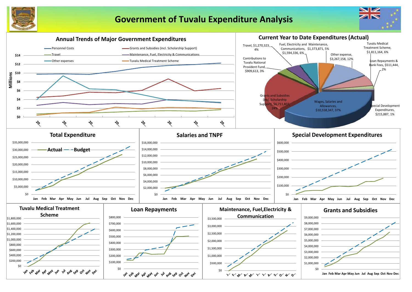

## **Government of Tuvalu Expenditure Analysis**



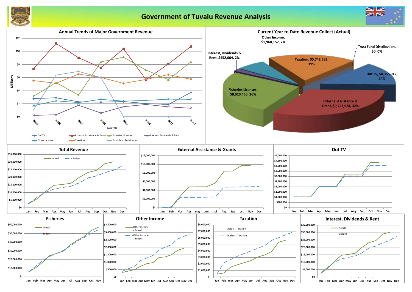

## **Government of Tuvalu Revenue Analysis**



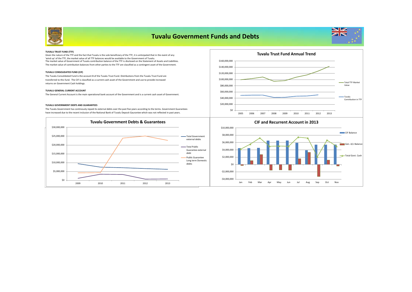

## **Tuvalu Government Funds and Debts**



#### **TUVALU TRUST FUND (TTF)**

The market value of Government of Tuvalu contribution balance of the TTF is disclosed on the Statement of Assets and Liabilities. The market value of contribution balances from other parties to the TTF are classified as a contingent asset of the Government. Given the nature of the TTF and the fact that Tuvalu is the sole beneficiary of the TTF, it is anticipated that in the event of any 'wind up' of the TTF, the market value of all TTF balances would be available to the Government of Tuvalu.

#### **TUVALU CONSOLIDATED FUND (CIF)**

The Tuvalu Consolidated Fund is the account B of the Tuvalu Trust Fund. Distributions from the Tuvalu Trust Fund are transferred to this fund. The CIF is classified as a current cash asset of the Government and use to provide increased returns on Government Cash holdings.

#### **TUVALU GENERAL CURRENT ACCOUNT**

The General Current Account is the main operational bank account of the Government and is a current cash asset of Government.

#### **TUVALU GOVERNMENT DEBTS AND GUARANTEES**

The Tuvalu Government has continously repaid its external debts over the past five years according to the terms. Government Guarantees have increased due to the recent inclusion of the National Bank of Tuvalu Deposit Gaurantee which was not reflected in past years.





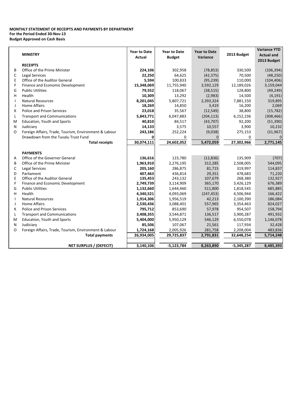### **MONTHLY STATEMENT OF RECEIPTS AND PAYMENTS BY DEPARTMENT For the Period Ended 30-Nov-13 Budget Approved on Cash Basis**

|         | <b>MINISTRY</b>                                       | <b>Year to Date</b> | <b>Year to Date</b> | <b>Year to Date</b> | 2013 Budget     | <b>Variance YTD</b> |
|---------|-------------------------------------------------------|---------------------|---------------------|---------------------|-----------------|---------------------|
|         |                                                       | <b>Actual</b>       | <b>Budget</b>       | Variance            |                 | <b>Actual and</b>   |
|         | <b>RECEIPTS</b>                                       |                     |                     |                     |                 | 2013 Budget         |
| B       | Office of the Prime Minister                          | 224,106             | 302,958             | (78, 853)           | 330,500         | (106, 394)          |
| C       | <b>Legal Services</b>                                 | 22,250              | 64,625              | (42, 375)           | 70,500          | (48, 250)           |
| E       | Office of the Auditor General                         | 5,594               | 100,833             | (95, 239)           | 110,000         | (104, 406)          |
| F       | Finance and Economic Development                      | 15,348,069          | 11,755,940          | 3,592,129           | 12,189,026      | 3,159,044           |
| G       | <b>Public Utilities</b>                               | 79,552              | 118,067             | (38, 515)           | 128,800         | (49, 249)           |
| н       | Health                                                | 10,309              | 13,292              | (2,983)             | 14,500          | (4, 191)            |
|         | <b>Natural Resources</b>                              | 8,201,045           | 5,807,721           | 2,393,324           | 7,881,150       | 319,895             |
| J       | <b>Home Affairs</b>                                   | 18,269              | 14,850              | 3,419               | 16,200          | 2,069               |
| к       | <b>Police and Prison Services</b>                     | 23,018              | 35,567              | (12, 549)           | 38,800          | (15, 782)           |
| L       | <b>Transport and Communications</b>                   | 5,843,771           | 6,047,883           | (204, 113)          | 6,152,236       | (308, 466)          |
| M       | Education, Youth and Sports                           | 40,810              | 84,517              | (43, 707)           | 92,200          | (51, 390)           |
| N       | Judiciary                                             | 14,133              | 3,575               | 10,557              | 3,900           | 10,232              |
| O       | Foreign Affairs, Trade, Tourism, Environment & Labour | 243,186             | 252,224             | (9,038)             | 275,153         | (31, 967)           |
|         | Drawdown from the Tuvalu Trust Fund                   |                     |                     | $\Omega$            |                 | $\Omega$            |
|         | <b>Total receipts</b>                                 | 30,074,111          | 0<br>24,602,052     | 5,472,059           | 0<br>27,302,966 | 2,771,145           |
|         |                                                       |                     |                     |                     |                 |                     |
|         | <b>PAYMENTS</b>                                       |                     |                     |                     |                 |                     |
| A       | Office of the Governer General                        | 136,616             | 123,780             | (12, 836)           | 135,909         | (707)               |
| B       | Office of the Prime Minister                          | 1,963,910           | 2,276,195           | 312,285             | 2,508,005       | 544,095             |
| C       | Legal Services                                        | 205,160             | 286,875             | 81,715              | 319,997         | 114,837             |
| D       | Parliament                                            | 407,463             | 436,814             | 29,351              | 478,683         | 71,220              |
| Ε       | Office of the Auditor General                         | 135,453             | 243,132             | 107,679             | 268,380         | 132,927             |
| F       | Finance and Economic Development                      | 2,749,739           | 3,114,909           | 365,170             | 3,426,129       | 676,389             |
| G       | <b>Public Utilities</b>                               | 1,132,660           | 1,644,460           | 511,800             | 1,818,545       | 685,885             |
| н       | Health                                                | 4,340,521           | 4,093,069           | (247, 453)          | 4,506,944       | 166,422             |
|         | <b>Natural Resources</b>                              | 1,914,306           | 1,956,519           | 42,213              | 2,100,390       | 186,084             |
| $\perp$ | <b>Home Affairs</b>                                   | 2,530,436           | 3,088,401           | 557,965             | 3,354,463       | 824,027             |
| к       | Police and Prison Services                            | 795,712             | 853,690             | 57,978              | 954,507         | 158,794             |
| L       | <b>Transport and Communications</b>                   | 3,408,355           | 3,544,871           | 136,517             | 3,900,287       | 491,932             |
| M       | Education, Youth and Sports                           | 5,404,000           | 5,950,129           | 546,129             | 6,550,078       | 1,146,078           |
| N       | Judiciary                                             | 85,506              | 107,067             | 21,561              | 117,934         | 32,428              |
| O       | Foreign Affairs, Trade, Tourism, Environment & Labour | 1,724,168           | 2,005,926           | 281,758             | 2,208,004       | 483,836             |
|         | <b>Total payments</b>                                 | 26,934,005          | 29,725,837          | 2,791,831           | 32,648,254      | 5,714,248           |
|         |                                                       |                     |                     |                     |                 |                     |
|         | <b>NET SURPLUS / (DEFECIT)</b>                        | 3,140,106           | $-5,123,784$        | 8,263,890           | $-5,345,287$    | 8,485,393           |